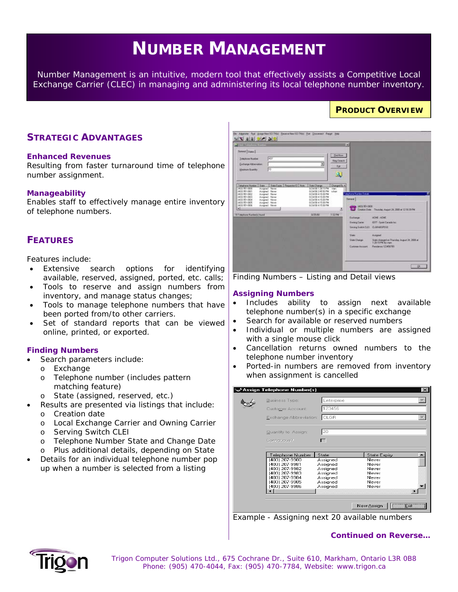# **NUMBER MANAGEMENT**

*Number Management is an intuitive, modern tool that effectively assists a Competitive Local Exchange Carrier (CLEC) in managing and administering its local telephone number inventory.* 

# **STRATEGIC ADVANTAGES**

#### **Enhanced Revenues**

Resulting from faster turnaround time of telephone number assignment.

#### **Manageability**

Enables staff to effectively manage entire inventory of telephone numbers.

# **FEATURES**

Features include:

- Extensive search options for identifying available, reserved, assigned, ported, etc. calls;
- Tools to reserve and assign numbers from inventory, and manage status changes;
- Tools to manage telephone numbers that have been ported from/to other carriers.
- Set of standard reports that can be viewed online, printed, or exported.

## **Finding Numbers**

- Search parameters include:
	- o Exchange
	- o Telephone number (includes pattern matching feature)
	- o State (assigned, reserved, etc.)
	- Results are presented via listings that include:
	- o Creation date
	- o Local Exchange Carrier and Owning Carrier
	- o Serving Switch CLEI
	- o Telephone Number State and Change Date
	- o Plus additional details, depending on State
- Details for an individual telephone number pop up when a number is selected from a listing

| <b>North Street from Street</b>                                                                                 |                                         |                             | <b>D</b>                          |                                                                      |
|-----------------------------------------------------------------------------------------------------------------|-----------------------------------------|-----------------------------|-----------------------------------|----------------------------------------------------------------------|
| <b>Donnel   Sigeri</b>                                                                                          |                                         | EkdNaw                      |                                   |                                                                      |
| ACT PT<br><b>Trispines Natber</b>                                                                               |                                         | New Deepth                  |                                   |                                                                      |
| Exchange Alderviation:                                                                                          |                                         | <b>Call</b>                 |                                   |                                                                      |
| Fö<br><b>Haritary Quantity</b>                                                                                  |                                         |                             |                                   |                                                                      |
|                                                                                                                 |                                         |                             |                                   |                                                                      |
|                                                                                                                 |                                         |                             |                                   |                                                                      |
| State Expres   Place period ED   Note<br>Telephone Number<br><b>State 1</b><br>(403) 951-0000<br>Assigned Never | State Drange<br>0/24/08 1:28 15 PM      | Changed By +<br><b>View</b> |                                   |                                                                      |
| HIDE 251 0001<br>Airrared Meyer<br>Arrighed Meyer<br>1403 951 0002                                              | 8/24/08 245/50 PM<br>8/24/08 4 15:06 PM | <b>v</b> hat                | Telephone Number Datail:          |                                                                      |
| (403) 951-0003<br>Assigned Mever<br>1403 951 0004<br>Asserved Meyer                                             | 8/24/08 #15:08 PM<br>8/24/08 415 08 PM  |                             | <b>Beneral</b>                    |                                                                      |
| <b>MGI 951-0805</b><br>Assigned Meyer<br>1803 951 0006<br>Assigned Meses                                        | 8/24/08 ±15:00 PM<br>G/26/08 & 15:00 PM |                             |                                   |                                                                      |
| $\bullet$                                                                                                       |                                         |                             | 1493 971-0000                     | C Chukon Date: Thursday August 24, 2000 at 12:18:39 PM               |
| 11 Telephone Numberto found                                                                                     | 設置面                                     | TERPH                       | Exchange                          | <b>ACHE-ADME</b>                                                     |
|                                                                                                                 |                                         |                             | <b><i><u>Derwig Carec</u></i></b> | 9377 - Sport Carada Inc.                                             |
|                                                                                                                 |                                         |                             | Servic Switch (LE) CLEAREFORD     |                                                                      |
|                                                                                                                 |                                         |                             | <b>Thata</b>                      | Assessed                                                             |
|                                                                                                                 |                                         |                             | State Change                      | State classcard on Thursday, August 24, 2000 at<br>1:2815 PM By View |
|                                                                                                                 |                                         |                             | <b>Customer Accounts</b>          | Readering 123456789                                                  |
|                                                                                                                 |                                         |                             |                                   |                                                                      |
|                                                                                                                 |                                         |                             |                                   |                                                                      |

**PRODUCT OVERVIEW**

*Finding Numbers – Listing and Detail views* 

#### **Assigning Numbers**

- Includes ability to assign next available telephone number(s) in a specific exchange
- Search for available or reserved numbers
- Individual or multiple numbers are assigned with a single mouse click
- Cancellation returns owned numbers to the telephone number inventory
- Ported-in numbers are removed from inventory when assignment is cancelled

| s: Assign Telephone Number(s) |            |                     | $\boldsymbol{\times}$ |
|-------------------------------|------------|---------------------|-----------------------|
| Business Type:                | Enterprise |                     |                       |
| Customer Account:             | 23456      |                     |                       |
| Exchange Abbreviation:        | lcLGR      |                     |                       |
|                               |            |                     |                       |
| Quantity to Assign:           | 20         |                     |                       |
| Contiguous?                   |            |                     |                       |
|                               |            |                     |                       |
| Telephone Number              | State      | <b>State Expiry</b> |                       |
| (403) 207-9980                | Assigned   | Never               |                       |
| (403) 207-9981                | Assigned   | Never               |                       |
| (403) 207-9982                | Assigned   | Never               |                       |
| (403) 207-9983                | Assigned   | Never               |                       |
| (403) 207-9984                | Assigned   | Never               |                       |
| (403) 207-9985                | Assigned   | Never               |                       |
| (403) 207-9986                | Assigned   | Never               |                       |
|                               |            |                     |                       |
|                               |            |                     |                       |
|                               |            |                     |                       |
|                               |            | New Assign          | $E$ sit               |

*Example - Assigning next 20 available numbers* 

#### *Continued on Reverse…*



 *Trigon Computer Solutions Ltd., 675 Cochrane Dr., Suite 610, Markham, Ontario L3R 0B8 Phone: (905) 470-4044, Fax: (905) 470-7784, Website: www.trigon.ca*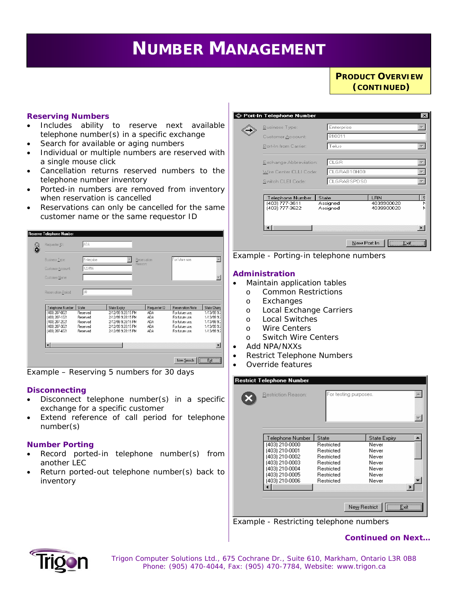# *Service Availability is a web-enabled tool that identifies the specific Digital Subscriber Line (DSL)*  **NUMBER MANAGEMENT**

∣⊗

**PRODUCT OVERVIEW** *(CONTINUED)*

#### **Reserving Numbers**

- Includes ability to reserve next available telephone number(s) in a specific exchange
- Search for available or aging numbers
- Individual or multiple numbers are reserved with a single mouse click
- Cancellation returns reserved numbers to the telephone number inventory
- Ported-in numbers are removed from inventory when reservation is cancelled
- Reservations can only be cancelled for the same customer name or the same requestor ID



*Example – Reserving 5 numbers for 30 days*

## **Disconnecting**

- Disconnect telephone number(s) in a specific exchange for a specific customer
- Extend reference of call period for telephone number(s)

#### **Number Porting**

- Record ported-in telephone number(s) from another LEC
- Return ported-out telephone number(s) back to inventory

| <b>Business Type:</b>            | Enterprise           |                          |
|----------------------------------|----------------------|--------------------------|
| Customer Account:                | 810011               |                          |
| Port-In from Carrier:            | Telus                |                          |
| Exchange Abbreviation:           | CLGR                 |                          |
| Wire Center CLLI Code:           | CLGRAB10H00          |                          |
| Switch CLEI Code:                | CLGRABSPDS0          |                          |
| Telephone Number                 | State                | LBN                      |
| (403) 777-3611<br>(403) 777-3622 | Assigned<br>Assigned | 4039900020<br>4039900020 |
|                                  |                      |                          |
|                                  |                      |                          |



#### **Administration**

- Maintain application tables
- o Common Restrictions
	- o Exchanges
	- o Local Exchange Carriers
	- o Local Switches
- o Wire Centers
- o Switch Wire Centers
- Add NPA/NXXs

**Restrict Telephone Nu** 

- Restrict Telephone Numbers
- Override features

| Restriction Reason:                                                                                                                            | For testing purposes.                                                                                   |                                                                                    |
|------------------------------------------------------------------------------------------------------------------------------------------------|---------------------------------------------------------------------------------------------------------|------------------------------------------------------------------------------------|
| Telephone Number<br>(403) 210-0000<br>(403) 210-0001<br>(403) 210-0002<br>(403) 210-0003<br>(403) 210-0004<br>(403) 210-0005<br>(403) 210-0006 | State<br>Restricted<br>Restricted<br>Restricted<br>Restricted<br>Restricted<br>Restricted<br>Restricted | <b>State Expiry</b><br>Never<br>Never<br>Never<br>Never<br>Never<br>Never<br>Never |
|                                                                                                                                                | New Restrict                                                                                            | Exit –                                                                             |

*Example - Restricting telephone numbers* 

*Continued on Next…* 



 *Trigon Computer Solutions Ltd., 675 Cochrane Dr., Suite 610, Markham, Ontario L3R 0B8 Phone: (905) 470-4044, Fax: (905) 470-7784, Website: www.trigon.ca*